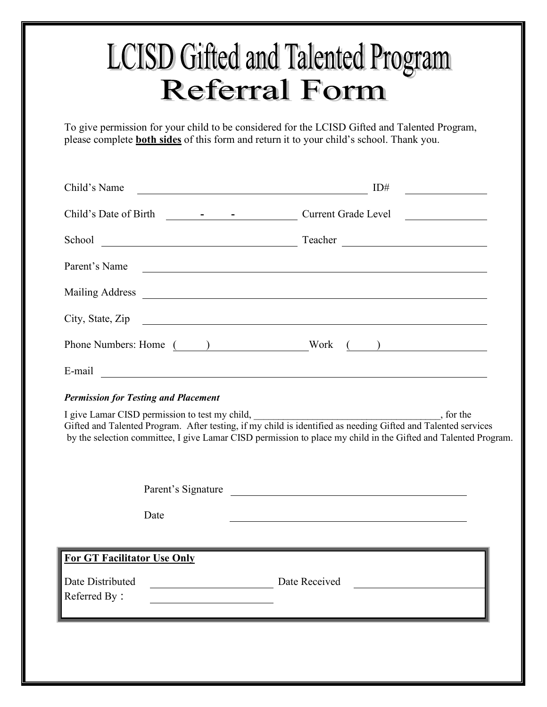## **LCISD Gifted and Talented Program Referral Form**

To give permission for your child to be considered for the LCISD Gifted and Talented Program, please complete **both sides** of this form and return it to your child's school. Thank you.

| Child's Name<br><u> 1989 - Johann Stoff, deutscher Stoffen und der Stoffen und der Stoffen und der Stoffen und der Stoffen und der</u>                                                                                                                                                                                                         | ID#                                                                                                                                                                                                                            |  |
|------------------------------------------------------------------------------------------------------------------------------------------------------------------------------------------------------------------------------------------------------------------------------------------------------------------------------------------------|--------------------------------------------------------------------------------------------------------------------------------------------------------------------------------------------------------------------------------|--|
|                                                                                                                                                                                                                                                                                                                                                |                                                                                                                                                                                                                                |  |
|                                                                                                                                                                                                                                                                                                                                                | School Contact Teacher Contact Teacher Contact Teacher Contact Teacher Contact Teacher Contact Teacher Contact Teacher Contact Teacher Contact Teacher Contact Teacher Contact Teacher Contact Teacher Contact Teacher Contact |  |
| Parent's Name                                                                                                                                                                                                                                                                                                                                  | <u> 1990 - Johann John Stone, markin fan it ferstjer fan de ferstjer fan it ferstjer fan de ferstjer fan it fers</u>                                                                                                           |  |
|                                                                                                                                                                                                                                                                                                                                                |                                                                                                                                                                                                                                |  |
| City, State, Zip                                                                                                                                                                                                                                                                                                                               |                                                                                                                                                                                                                                |  |
|                                                                                                                                                                                                                                                                                                                                                | Phone Numbers: Home () Work ()                                                                                                                                                                                                 |  |
|                                                                                                                                                                                                                                                                                                                                                |                                                                                                                                                                                                                                |  |
| <b>Permission for Testing and Placement</b>                                                                                                                                                                                                                                                                                                    |                                                                                                                                                                                                                                |  |
| I give Lamar CISD permission to test my child, _________________________________<br>$\frac{1}{2}$ , for the<br>Gifted and Talented Program. After testing, if my child is identified as needing Gifted and Talented services<br>by the selection committee, I give Lamar CISD permission to place my child in the Gifted and Talented Program. |                                                                                                                                                                                                                                |  |
|                                                                                                                                                                                                                                                                                                                                                | Parent's Signature                                                                                                                                                                                                             |  |
| Date                                                                                                                                                                                                                                                                                                                                           |                                                                                                                                                                                                                                |  |
|                                                                                                                                                                                                                                                                                                                                                |                                                                                                                                                                                                                                |  |
| <b>For GT Facilitator Use Only</b>                                                                                                                                                                                                                                                                                                             |                                                                                                                                                                                                                                |  |
| Date Distributed<br>Referred By:                                                                                                                                                                                                                                                                                                               | Date Received                                                                                                                                                                                                                  |  |
|                                                                                                                                                                                                                                                                                                                                                |                                                                                                                                                                                                                                |  |
|                                                                                                                                                                                                                                                                                                                                                |                                                                                                                                                                                                                                |  |